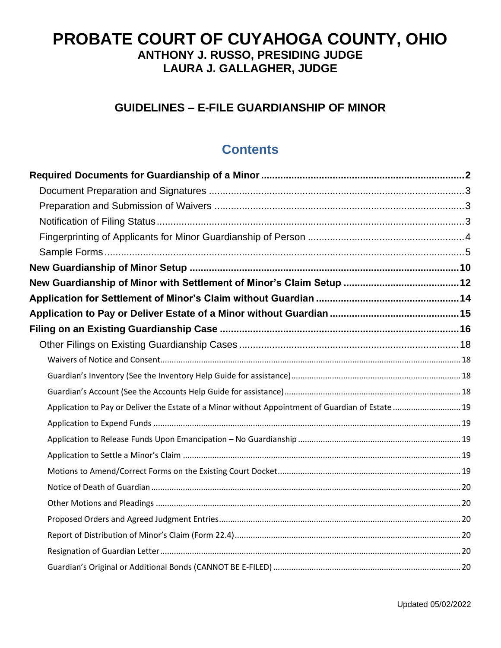# **PROBATE COURT OF CUYAHOGA COUNTY, OHIO ANTHONY J. RUSSO, PRESIDING JUDGE LAURA J. GALLAGHER, JUDGE**

# **GUIDELINES – E-FILE GUARDIANSHIP OF MINOR**

# **Contents**

| Application to Pay or Deliver the Estate of a Minor without Appointment of Guardian of Estate  19 |  |
|---------------------------------------------------------------------------------------------------|--|
|                                                                                                   |  |
|                                                                                                   |  |
|                                                                                                   |  |
|                                                                                                   |  |
|                                                                                                   |  |
|                                                                                                   |  |
|                                                                                                   |  |
|                                                                                                   |  |
|                                                                                                   |  |
|                                                                                                   |  |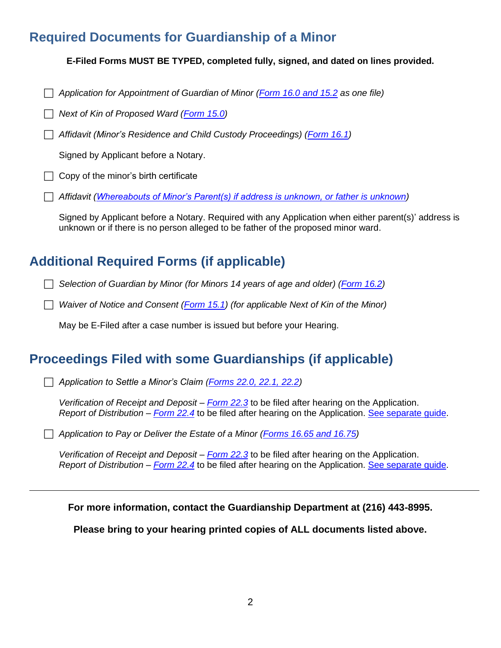# <span id="page-1-0"></span>**Required Documents for Guardianship of a Minor**

**E-Filed Forms MUST BE TYPED, completed fully, signed, and dated on lines provided.**

*Application for Appointment of Guardian of Minor [\(Form 16.0](https://probate.cuyahogacounty.us/pdf/grdm/16.0.pdf) and 15.2 as one file)*

*Next of Kin of Proposed Ward [\(Form 15.0\)](https://probate.cuyahogacounty.us/pdf/grdm/15.0.pdf)*

*Affidavit (Minor's Residence and Child Custody Proceedings) [\(Form 16.1\)](https://probate.cuyahogacounty.us/pdf/grdm/16.1.pdf)*

Signed by Applicant before a Notary.

 $\Box$  Copy of the minor's birth certificate

*Affidavit [\(Whereabouts of Minor's Parent\(s\) if address is unknown, or father is unknown\)](https://probate.cuyahogacounty.us/pdf/grdm/GuardAffidavit.pdf)*

Signed by Applicant before a Notary. Required with any Application when either parent(s)' address is unknown or if there is no person alleged to be father of the proposed minor ward.

# **Additional Required Forms (if applicable)**

*Selection of Guardian by Minor (for Minors 14 years of age and older) [\(Form 16.2\)](https://probate.cuyahogacounty.us/pdf/grdm/16.2.pdf)*

*Waiver of Notice and Consent [\(Form 15.1\)](https://probate.cuyahogacounty.us/pdf/grdm/15.1.pdf) (for applicable Next of Kin of the Minor)*

May be E-Filed after a case number is issued but before your Hearing.

# **Proceedings Filed with some Guardianships (if applicable)**

*Application to Settle a Minor's Claim [\(Forms 22.0, 22.1, 22.2\)](https://probate.cuyahogacounty.us/pdf/grdm/22.0_packet.pdf)*

*Verification of Receipt and Deposit – [Form 22.3](https://probate.cuyahogacounty.us/pdf/grdm/22.3.pdf)* to be filed after hearing on the Application. *Report of Distribution – [Form 22.4](https://probate.cuyahogacounty.us/pdf/grdm/22.4.pdf)* to be filed after hearing on the Application. [See separate guide.](https://probate.cuyahogacounty.us/pdf/grda/guides/GRDRprtDistribGuide.pdf)

*Application to Pay or Deliver the Estate of a Minor [\(Forms 16.65 and 16.75\)](https://probate.cuyahogacounty.us/pdf/grdm/PODMinorPacket.pdf)*

*Verification of Receipt and Deposit – [Form 22.3](https://probate.cuyahogacounty.us/pdf/grdm/22.3.pdf)* to be filed after hearing on the Application. *Report of Distribution – [Form 22.4](https://probate.cuyahogacounty.us/pdf/grdm/22.4.pdf)* to be filed after hearing on the Application. [See separate guide.](https://probate.cuyahogacounty.us/pdf/grda/guides/GRDRprtDistribGuide.pdf)

**For more information, contact the Guardianship Department at (216) 443-8995.**

**Please bring to your hearing printed copies of ALL documents listed above.**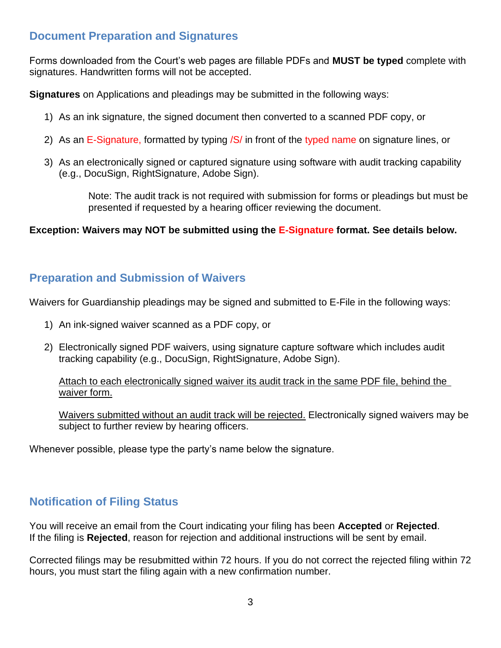# <span id="page-2-0"></span>**Document Preparation and Signatures**

Forms downloaded from the Court's web pages are fillable PDFs and **MUST be typed** complete with signatures. Handwritten forms will not be accepted.

**Signatures** on Applications and pleadings may be submitted in the following ways:

- 1) As an ink signature, the signed document then converted to a scanned PDF copy, or
- 2) As an E-Signature, formatted by typing /S/ in front of the typed name on signature lines, or
- 3) As an electronically signed or captured signature using software with audit tracking capability (e.g., DocuSign, RightSignature, Adobe Sign).

Note: The audit track is not required with submission for forms or pleadings but must be presented if requested by a hearing officer reviewing the document.

**Exception: Waivers may NOT be submitted using the E-Signature format. See details below.**

# <span id="page-2-1"></span>**Preparation and Submission of Waivers**

Waivers for Guardianship pleadings may be signed and submitted to E-File in the following ways:

- 1) An ink-signed waiver scanned as a PDF copy, or
- 2) Electronically signed PDF waivers, using signature capture software which includes audit tracking capability (e.g., DocuSign, RightSignature, Adobe Sign).

Attach to each electronically signed waiver its audit track in the same PDF file, behind the waiver form.

Waivers submitted without an audit track will be rejected. Electronically signed waivers may be subject to further review by hearing officers.

Whenever possible, please type the party's name below the signature.

# <span id="page-2-2"></span>**Notification of Filing Status**

You will receive an email from the Court indicating your filing has been **Accepted** or **Rejected**. If the filing is **Rejected**, reason for rejection and additional instructions will be sent by email.

Corrected filings may be resubmitted within 72 hours. If you do not correct the rejected filing within 72 hours, you must start the filing again with a new confirmation number.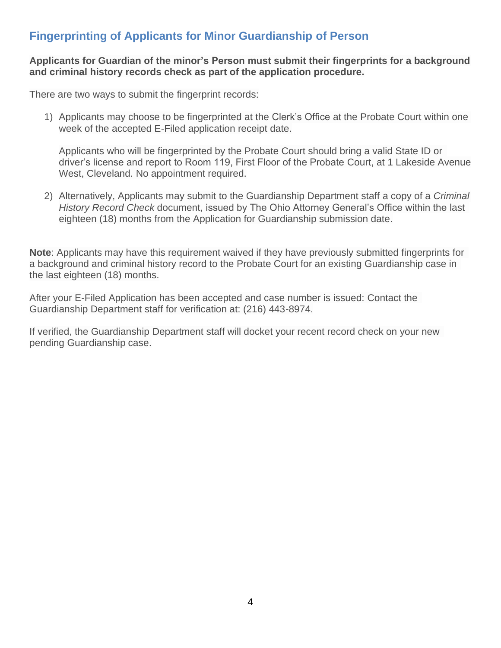# <span id="page-3-0"></span>**Fingerprinting of Applicants for Minor Guardianship of Person**

#### **Applicants for Guardian of the minor's Person must submit their fingerprints for a background and criminal history records check as part of the application procedure.**

There are two ways to submit the fingerprint records:

1) Applicants may choose to be fingerprinted at the Clerk's Office at the Probate Court within one week of the accepted E-Filed application receipt date.

Applicants who will be fingerprinted by the Probate Court should bring a valid State ID or driver's license and report to Room 119, First Floor of the Probate Court, at 1 Lakeside Avenue West, Cleveland. No appointment required.

2) Alternatively, Applicants may submit to the Guardianship Department staff a copy of a *Criminal History Record Check* document, issued by The Ohio Attorney General's Office within the last eighteen (18) months from the Application for Guardianship submission date.

**Note**: Applicants may have this requirement waived if they have previously submitted fingerprints for a background and criminal history record to the Probate Court for an existing Guardianship case in the last eighteen (18) months.

After your E-Filed Application has been accepted and case number is issued: Contact the Guardianship Department staff for verification at: (216) 443-8974.

If verified, the Guardianship Department staff will docket your recent record check on your new pending Guardianship case.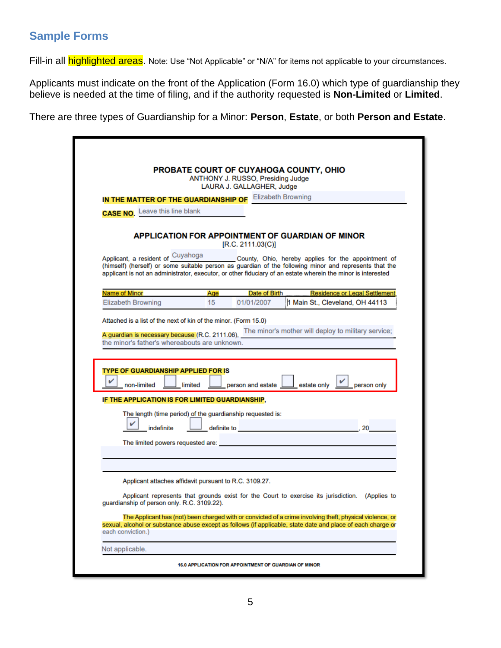# <span id="page-4-0"></span>**Sample Forms**

Fill-in all **highlighted areas**. Note: Use "Not Applicable" or "N/A" for items not applicable to your circumstances.

Applicants must indicate on the front of the Application (Form 16.0) which type of guardianship they believe is needed at the time of filing, and if the authority requested is **Non-Limited** or **Limited**.

There are three types of Guardianship for a Minor: **Person**, **Estate**, or both **Person and Estate**.

|                                                                                                                                                                     |         | ANTHONY J. RUSSO, Presiding Judge                                                                               | PROBATE COURT OF CUYAHOGA COUNTY, OHIO                                                                                                                                                                                                                                                                          |
|---------------------------------------------------------------------------------------------------------------------------------------------------------------------|---------|-----------------------------------------------------------------------------------------------------------------|-----------------------------------------------------------------------------------------------------------------------------------------------------------------------------------------------------------------------------------------------------------------------------------------------------------------|
|                                                                                                                                                                     |         | LAURA J. GALLAGHER, Judge                                                                                       |                                                                                                                                                                                                                                                                                                                 |
| IN THE MATTER OF THE GUARDIANSHIP OF Elizabeth Browning                                                                                                             |         |                                                                                                                 |                                                                                                                                                                                                                                                                                                                 |
| <b>CASE NO.</b> Leave this line blank                                                                                                                               |         |                                                                                                                 |                                                                                                                                                                                                                                                                                                                 |
|                                                                                                                                                                     |         | [R.C. 2111.03(C)]                                                                                               | APPLICATION FOR APPOINTMENT OF GUARDIAN OF MINOR                                                                                                                                                                                                                                                                |
|                                                                                                                                                                     |         |                                                                                                                 | Applicant, a resident of Cuyahoga County, Ohio, hereby applies for the appointment of<br>(himself) (herself) or some suitable person as guardian of the following minor and represents that the<br>applicant is not an administrator, executor, or other fiduciary of an estate wherein the minor is interested |
| Name of Minor                                                                                                                                                       | Age     | Date of Birth                                                                                                   | <b>Residence or Legal Settlement</b>                                                                                                                                                                                                                                                                            |
| <b>Elizabeth Browning</b>                                                                                                                                           | 15      | 01/01/2007                                                                                                      | 1 Main St., Cleveland, OH 44113                                                                                                                                                                                                                                                                                 |
|                                                                                                                                                                     |         |                                                                                                                 | A guardian is necessary because (R.C. 2111.06), The minor's mother will deploy to military service;                                                                                                                                                                                                             |
| non-limited                                                                                                                                                         | limited | person and estate                                                                                               | estate only<br>person only                                                                                                                                                                                                                                                                                      |
| <b>TYPE OF GUARDIANSHIP APPLIED FOR IS</b>                                                                                                                          |         |                                                                                                                 |                                                                                                                                                                                                                                                                                                                 |
| The length (time period) of the guardianship requested is:                                                                                                          |         |                                                                                                                 |                                                                                                                                                                                                                                                                                                                 |
| V<br>indefinite                                                                                                                                                     |         | definite to the contract of the contract of the contract of the contract of the contract of the contract of the | . 20                                                                                                                                                                                                                                                                                                            |
| Attached is a list of the next of kin of the minor. (Form 15.0)<br>the minor's father's whereabouts are unknown.<br>IF THE APPLICATION IS FOR LIMITED GUARDIANSHIP, |         |                                                                                                                 |                                                                                                                                                                                                                                                                                                                 |
|                                                                                                                                                                     |         |                                                                                                                 |                                                                                                                                                                                                                                                                                                                 |
| Applicant attaches affidavit pursuant to R.C. 3109.27.                                                                                                              |         |                                                                                                                 |                                                                                                                                                                                                                                                                                                                 |
| guardianship of person only. R.C. 3109.22).                                                                                                                         |         |                                                                                                                 | Applicant represents that grounds exist for the Court to exercise its jurisdiction. (Applies to                                                                                                                                                                                                                 |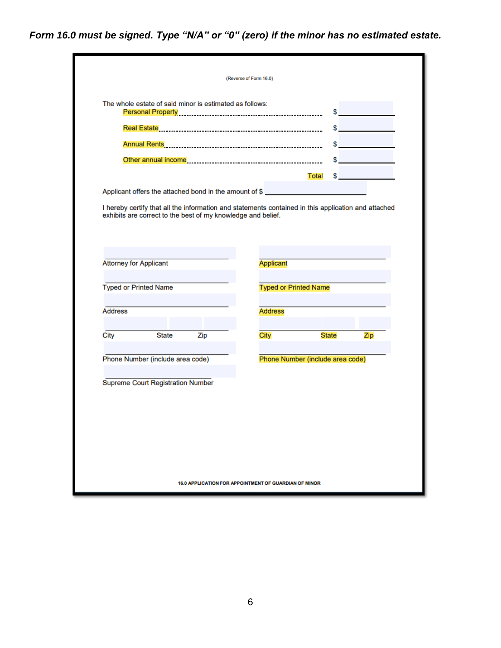*Form 16.0 must be signed. Type "N/A" or "0" (zero) if the minor has no estimated estate.*

|                                                                                                                                                                         |     | (Reverse of Form 16.0)                                             |              |                               |
|-------------------------------------------------------------------------------------------------------------------------------------------------------------------------|-----|--------------------------------------------------------------------|--------------|-------------------------------|
| The whole estate of said minor is estimated as follows:                                                                                                                 |     |                                                                    | s in the set |                               |
|                                                                                                                                                                         |     |                                                                    |              |                               |
|                                                                                                                                                                         |     |                                                                    |              | $\sim$ $\sim$                 |
|                                                                                                                                                                         |     |                                                                    |              | the control of the control of |
|                                                                                                                                                                         |     |                                                                    | Total        |                               |
| Applicant offers the attached bond in the amount of \$                                                                                                                  |     |                                                                    |              |                               |
|                                                                                                                                                                         |     |                                                                    |              |                               |
|                                                                                                                                                                         |     | <b>Applicant</b><br><b>Typed or Printed Name</b><br><b>Address</b> |              |                               |
|                                                                                                                                                                         |     |                                                                    |              |                               |
| <b>State</b>                                                                                                                                                            | Zip | City                                                               | <b>State</b> | Zip                           |
|                                                                                                                                                                         |     | Phone Number (include area code)                                   |              |                               |
|                                                                                                                                                                         |     |                                                                    |              |                               |
|                                                                                                                                                                         |     |                                                                    |              |                               |
|                                                                                                                                                                         |     |                                                                    |              |                               |
|                                                                                                                                                                         |     |                                                                    |              |                               |
| <b>Attorney for Applicant</b><br><b>Typed or Printed Name</b><br><b>Address</b><br>City<br>Phone Number (include area code)<br><b>Supreme Court Registration Number</b> |     |                                                                    |              |                               |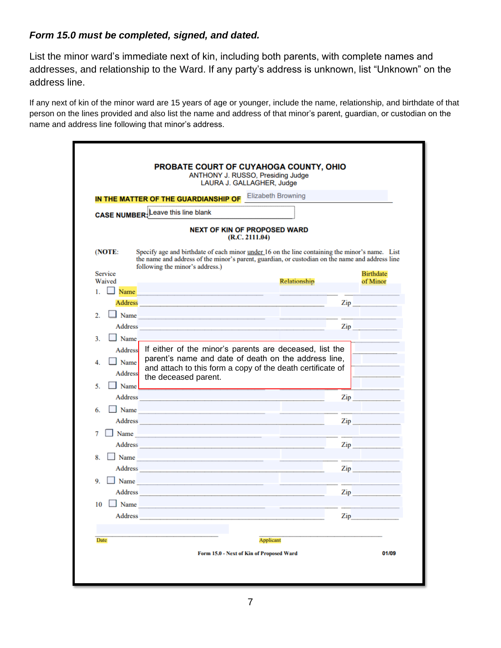# *Form 15.0 must be completed, signed, and dated.*

List the minor ward's immediate next of kin, including both parents, with complete names and addresses, and relationship to the Ward. If any party's address is unknown, list "Unknown" on the address line.

If any next of kin of the minor ward are 15 years of age or younger, include the name, relationship, and birthdate of that person on the lines provided and also list the name and address of that minor's parent, guardian, or custodian on the name and address line following that minor's address.

|                                                                                                                                                                                                                                | <b>IN THE MATTER OF THE GUARDIANSHIP OF Elizabeth Browning</b>                                                                                                                                                                                                                                                                                                                                                                                                             |
|--------------------------------------------------------------------------------------------------------------------------------------------------------------------------------------------------------------------------------|----------------------------------------------------------------------------------------------------------------------------------------------------------------------------------------------------------------------------------------------------------------------------------------------------------------------------------------------------------------------------------------------------------------------------------------------------------------------------|
| <b>CASE NUMBER:</b> Leave this line blank                                                                                                                                                                                      |                                                                                                                                                                                                                                                                                                                                                                                                                                                                            |
|                                                                                                                                                                                                                                | <b>NEXT OF KIN OF PROPOSED WARD</b>                                                                                                                                                                                                                                                                                                                                                                                                                                        |
|                                                                                                                                                                                                                                | (R.C. 2111.04)                                                                                                                                                                                                                                                                                                                                                                                                                                                             |
| (NOTE:<br>following the minor's address.)                                                                                                                                                                                      | Specify age and birthdate of each minor under 16 on the line containing the minor's name. List<br>the name and address of the minor's parent, guardian, or custodian on the name and address line                                                                                                                                                                                                                                                                          |
| <b>Service</b>                                                                                                                                                                                                                 | <b>Birthdate</b>                                                                                                                                                                                                                                                                                                                                                                                                                                                           |
| Waived<br>1.<br>$\Box$ Name                                                                                                                                                                                                    | Relationship<br>of Minor                                                                                                                                                                                                                                                                                                                                                                                                                                                   |
| Address                                                                                                                                                                                                                        | $\mathsf{Zip}$                                                                                                                                                                                                                                                                                                                                                                                                                                                             |
| $\Box$ Name<br>$\overline{2}$ .                                                                                                                                                                                                |                                                                                                                                                                                                                                                                                                                                                                                                                                                                            |
| Address                                                                                                                                                                                                                        | $\mathbf{Zip}$                                                                                                                                                                                                                                                                                                                                                                                                                                                             |
| Name<br>3.                                                                                                                                                                                                                     |                                                                                                                                                                                                                                                                                                                                                                                                                                                                            |
| $\Box$ Name<br>4.<br><b>Address</b><br>the deceased parent.<br>5.<br>$\blacksquare$ Name                                                                                                                                       | parent's name and date of death on the address line,<br>and attach to this form a copy of the death certificate of                                                                                                                                                                                                                                                                                                                                                         |
| Address                                                                                                                                                                                                                        | $\mathbf{Zip}$                                                                                                                                                                                                                                                                                                                                                                                                                                                             |
| $\Box$ Name<br>6.                                                                                                                                                                                                              |                                                                                                                                                                                                                                                                                                                                                                                                                                                                            |
|                                                                                                                                                                                                                                | Address and the contract of the contract of the contract of the contract of the contract of the contract of the contract of the contract of the contract of the contract of the contract of the contract of the contract of th<br>Zip <sub>p</sub> and the set of the set of the set of the set of the set of the set of the set of the set of the set of the set of the set of the set of the set of the set of the set of the set of the set of the set of the set of th |
| 7<br>Name                                                                                                                                                                                                                      |                                                                                                                                                                                                                                                                                                                                                                                                                                                                            |
| Address and the contract of the contract of the contract of the contract of the contract of the contract of the contract of the contract of the contract of the contract of the contract of the contract of the contract of th |                                                                                                                                                                                                                                                                                                                                                                                                                                                                            |
| $8. \Box$ Name                                                                                                                                                                                                                 |                                                                                                                                                                                                                                                                                                                                                                                                                                                                            |
| Address and the contract of the contract of the contract of the contract of the contract of the contract of the                                                                                                                | Zip and the same of the same of the same of the same of the same of the same of the same of the same of the same of the same of the same of the same of the same of the same of the same of the same of the same of the same o                                                                                                                                                                                                                                             |
|                                                                                                                                                                                                                                | <u> 1989 - Johann Stein, mars an t-Amerikaansk kommunister (</u>                                                                                                                                                                                                                                                                                                                                                                                                           |
| $\Box$ Name                                                                                                                                                                                                                    | Zip <sub>p</sub> and the set of the set of the set of the set of the set of the set of the set of the set of the set of the set of the set of the set of the set of the set of the set of the set of the set of the set of the set of th                                                                                                                                                                                                                                   |
| Address and the contract of the contract of the contract of the contract of the contract of the contract of the contract of the contract of the contract of the contract of the contract of the contract of the contract of th |                                                                                                                                                                                                                                                                                                                                                                                                                                                                            |
|                                                                                                                                                                                                                                |                                                                                                                                                                                                                                                                                                                                                                                                                                                                            |
| 9.<br>$10$ Mame<br>Address                                                                                                                                                                                                     | Zip                                                                                                                                                                                                                                                                                                                                                                                                                                                                        |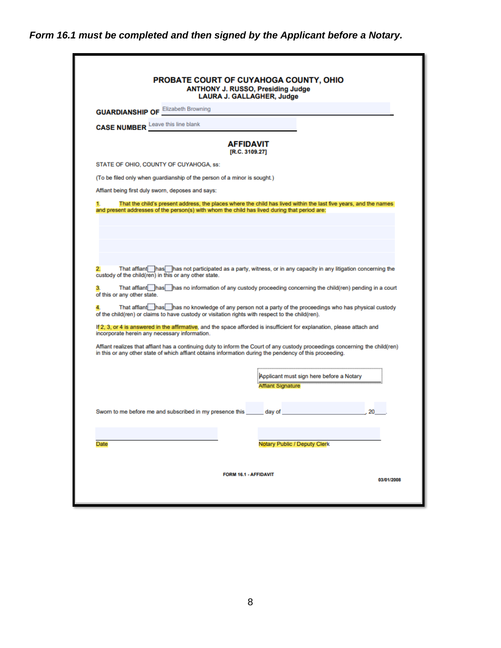# *Form 16.1 must be completed and then signed by the Applicant before a Notary.*

| <b>GUARDIANSHIP OF Elizabeth Browning</b>                                                                                                                                                                                                                                                                                                                                                                                                                                                                                                 |                                    |                                                                      |    |
|-------------------------------------------------------------------------------------------------------------------------------------------------------------------------------------------------------------------------------------------------------------------------------------------------------------------------------------------------------------------------------------------------------------------------------------------------------------------------------------------------------------------------------------------|------------------------------------|----------------------------------------------------------------------|----|
| <b>CASE NUMBER</b> Leave this line blank                                                                                                                                                                                                                                                                                                                                                                                                                                                                                                  |                                    |                                                                      |    |
|                                                                                                                                                                                                                                                                                                                                                                                                                                                                                                                                           | <b>AFFIDAVIT</b><br>[R.C. 3109.27] |                                                                      |    |
| STATE OF OHIO, COUNTY OF CUYAHOGA, ss:                                                                                                                                                                                                                                                                                                                                                                                                                                                                                                    |                                    |                                                                      |    |
| (To be filed only when guardianship of the person of a minor is sought.)                                                                                                                                                                                                                                                                                                                                                                                                                                                                  |                                    |                                                                      |    |
| Affiant being first duly sworn, deposes and says:                                                                                                                                                                                                                                                                                                                                                                                                                                                                                         |                                    |                                                                      |    |
| and present addresses of the person(s) with whom the child has lived during that period are:                                                                                                                                                                                                                                                                                                                                                                                                                                              |                                    |                                                                      |    |
| That affiant has has not participated as a party, witness, or in any capacity in any litigation concerning the<br>custody of the child(ren) in this or any other state.<br>That affiant has has no information of any custody proceeding concerning the child(ren) pending in a court<br>3.<br>of this or any other state.<br>That affiant nas has no knowledge of any person not a party of the proceedings who has physical custody<br>of the child(ren) or claims to have custody or visitation rights with respect to the child(ren). |                                    |                                                                      |    |
| If 2, 3, or 4 is answered in the affirmative, and the space afforded is insufficient for explanation, please attach and<br>incorporate herein any necessary information.                                                                                                                                                                                                                                                                                                                                                                  |                                    |                                                                      |    |
| Affiant realizes that affiant has a continuing duty to inform the Court of any custody proceedings concerning the child(ren)<br>in this or any other state of which affiant obtains information during the pendency of this proceeding.                                                                                                                                                                                                                                                                                                   |                                    |                                                                      |    |
|                                                                                                                                                                                                                                                                                                                                                                                                                                                                                                                                           |                                    | Applicant must sign here before a Notary<br><b>Affiant Signature</b> |    |
|                                                                                                                                                                                                                                                                                                                                                                                                                                                                                                                                           |                                    |                                                                      | 20 |
| Sworn to me before me and subscribed in my presence this ______ day of                                                                                                                                                                                                                                                                                                                                                                                                                                                                    |                                    |                                                                      |    |
|                                                                                                                                                                                                                                                                                                                                                                                                                                                                                                                                           |                                    |                                                                      |    |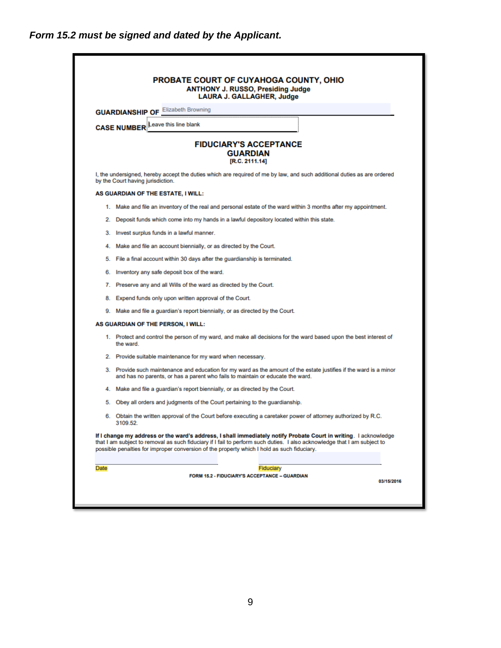|      | <b>GUARDIANSHIP OF Elizabeth Browning</b>                                                                                                                                                                                                                                                                                                  |
|------|--------------------------------------------------------------------------------------------------------------------------------------------------------------------------------------------------------------------------------------------------------------------------------------------------------------------------------------------|
|      | <b>CASE NUMBER</b> Leave this line blank                                                                                                                                                                                                                                                                                                   |
|      | <b>FIDUCIARY'S ACCEPTANCE</b><br><b>GUARDIAN</b><br>[R.C. 2111.14]                                                                                                                                                                                                                                                                         |
|      | I, the undersigned, hereby accept the duties which are required of me by law, and such additional duties as are ordered<br>by the Court having jurisdiction.                                                                                                                                                                               |
|      | AS GUARDIAN OF THE ESTATE, I WILL:                                                                                                                                                                                                                                                                                                         |
|      | 1. Make and file an inventory of the real and personal estate of the ward within 3 months after my appointment.                                                                                                                                                                                                                            |
| 2.   | Deposit funds which come into my hands in a lawful depository located within this state.                                                                                                                                                                                                                                                   |
| З.   | Invest surplus funds in a lawful manner.                                                                                                                                                                                                                                                                                                   |
| 4.   | Make and file an account biennially, or as directed by the Court.                                                                                                                                                                                                                                                                          |
| 5.   | File a final account within 30 days after the guardianship is terminated.                                                                                                                                                                                                                                                                  |
| 6.   | Inventory any safe deposit box of the ward.                                                                                                                                                                                                                                                                                                |
|      | 7. Preserve any and all Wills of the ward as directed by the Court.                                                                                                                                                                                                                                                                        |
|      | 8. Expend funds only upon written approval of the Court.                                                                                                                                                                                                                                                                                   |
|      | 9. Make and file a guardian's report biennially, or as directed by the Court.                                                                                                                                                                                                                                                              |
|      | AS GUARDIAN OF THE PERSON, I WILL:                                                                                                                                                                                                                                                                                                         |
|      | 1. Protect and control the person of my ward, and make all decisions for the ward based upon the best interest of<br>the ward.                                                                                                                                                                                                             |
|      | 2. Provide suitable maintenance for my ward when necessary.                                                                                                                                                                                                                                                                                |
|      | 3. Provide such maintenance and education for my ward as the amount of the estate justifies if the ward is a minor<br>and has no parents, or has a parent who fails to maintain or educate the ward.                                                                                                                                       |
| 4.   | Make and file a guardian's report biennially, or as directed by the Court.                                                                                                                                                                                                                                                                 |
| 5.   | Obey all orders and judgments of the Court pertaining to the guardianship.                                                                                                                                                                                                                                                                 |
|      | 6. Obtain the written approval of the Court before executing a caretaker power of attorney authorized by R.C.<br>3109.52.                                                                                                                                                                                                                  |
|      | If I change my address or the ward's address, I shall immediately notify Probate Court in writing. I acknowledge<br>that I am subject to removal as such fiduciary if I fail to perform such duties. I also acknowledge that I am subject to<br>possible penalties for improper conversion of the property which I hold as such fiduciary. |
| Date | Fiduciary                                                                                                                                                                                                                                                                                                                                  |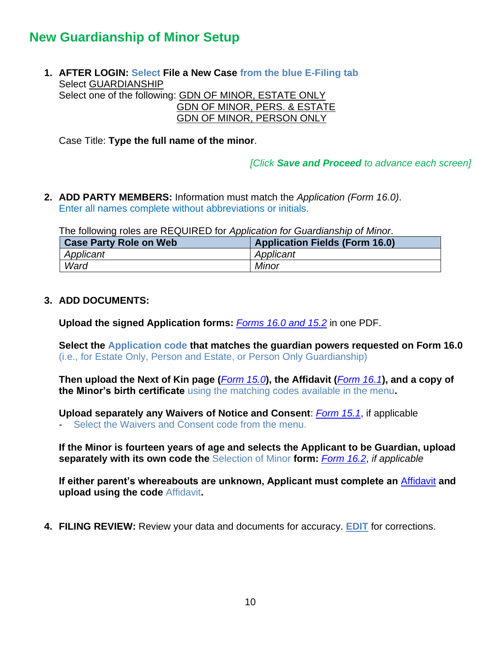# <span id="page-9-0"></span>**New Guardianship of Minor Setup**

**1. AFTER LOGIN: Select File a New Case from the blue E-Filing tab** Select GUARDIANSHIP Select one of the following: GDN OF MINOR, ESTATE ONLY GDN OF MINOR, PERS. & ESTATE GDN OF MINOR, PERSON ONLY

Case Title: **Type the full name of the minor**.

*[Click Save and Proceed to advance each screen]*

**2. ADD PARTY MEMBERS:** Information must match the *Application (Form 16.0)*. Enter all names complete without abbreviations or initials.

The following roles are REQUIRED for *Application for Guardianship of Minor*.

| <b>Case Party Role on Web</b> | <b>Application Fields (Form 16.0)</b> |
|-------------------------------|---------------------------------------|
| Applicant                     | Applicant                             |
| Ward                          | <b>Minor</b>                          |

#### **3. ADD DOCUMENTS:**

**Upload the signed Application forms:** *Forms 16.0 [and 15.2](https://probate.cuyahogacounty.us/pdf/grdm/16.0.pdf)* in one PDF.

**Select the Application code that matches the guardian powers requested on Form 16.0** (i.e., for Estate Only, Person and Estate, or Person Only Guardianship)

**Then upload the Next of Kin page (***[Form 15.0](https://probate.cuyahogacounty.us/pdf/grdm/15.0.pdf)***), the Affidavit (***[Form 16.1](https://probate.cuyahogacounty.us/pdf/grdm/16.1.pdf)***), and a copy of the Minor's birth certificate** using the matching codes available in the menu**.**

**Upload separately any Waivers of Notice and Consent**: *[Form 15.1](https://probate.cuyahogacounty.us/pdf/grdm/15.1.pdf)*, if applicable

Select the Waivers and Consent code from the menu.

**If the Minor is fourteen years of age and selects the Applicant to be Guardian, upload separately with its own code the** Selection of Minor **form:** *[Form 16.2](https://probate.cuyahogacounty.us/pdf/grdm/16.2.pdf)*, *if applicable*

**If either parent's whereabouts are unknown, Applicant must complete an** [Affidavit](https://probate.cuyahogacounty.us/pdf/grdm/GuardAffidavit.pdf) **and upload using the code** Affidavit**.**

**4. FILING REVIEW:** Review your data and documents for accuracy. **EDIT** for corrections.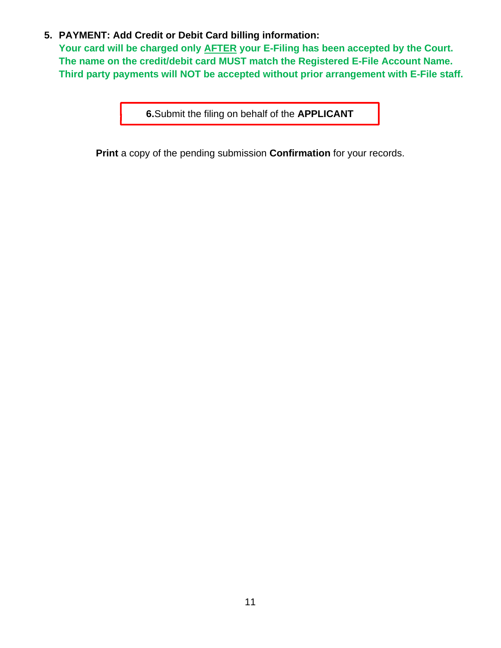# **5. PAYMENT: Add Credit or Debit Card billing information:**

**Your card will be charged only AFTER your E-Filing has been accepted by the Court. The name on the credit/debit card MUST match the Registered E-File Account Name. Third party payments will NOT be accepted without prior arrangement with E-File staff.**

**6.**Submit the filing on behalf of the **APPLICANT**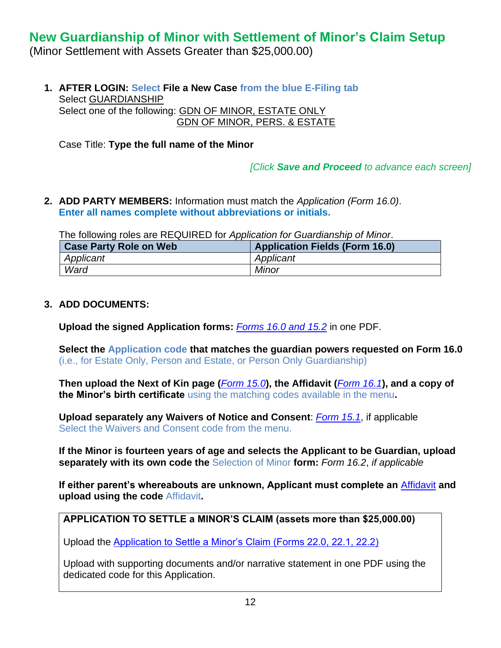# <span id="page-11-0"></span>**New Guardianship of Minor with Settlement of Minor's Claim Setup**

(Minor Settlement with Assets Greater than \$25,000.00)

**1. AFTER LOGIN: Select File a New Case from the blue E-Filing tab** Select GUARDIANSHIP Select one of the following: GDN OF MINOR, ESTATE ONLY GDN OF MINOR, PERS. & ESTATE

Case Title: **Type the full name of the Minor**

*[Click Save and Proceed to advance each screen]*

**2. ADD PARTY MEMBERS:** Information must match the *Application (Form 16.0)*. **Enter all names complete without abbreviations or initials.**

The following roles are REQUIRED for *Application for Guardianship of Minor*.

| <b>Case Party Role on Web</b> | <b>Application Fields (Form 16.0)</b> |
|-------------------------------|---------------------------------------|
| Applicant                     | Applicant                             |
| Ward                          | <b>Minor</b>                          |

### **3. ADD DOCUMENTS:**

**Upload the signed Application forms:** *[Forms 16.0 and 15.2](https://probate.cuyahogacounty.us/pdf/grdm/16.0.pdf)* in one PDF.

**Select the Application code that matches the guardian powers requested on Form 16.0** (i.e., for Estate Only, Person and Estate, or Person Only Guardianship)

**Then upload the Next of Kin page (***[Form 15.0](https://probate.cuyahogacounty.us/pdf/grdm/15.0.pdf)***), the Affidavit (***[Form 16.1](https://probate.cuyahogacounty.us/pdf/grdm/16.1.pdf)***), and a copy of the Minor's birth certificate** using the matching codes available in the menu**.**

**Upload separately any Waivers of Notice and Consent**: *[Form 15.1](https://probate.cuyahogacounty.us/pdf/grdm/15.1.pdf)*, if applicable Select the Waivers and Consent code from the menu.

**If the Minor is fourteen years of age and selects the Applicant to be Guardian, upload separately with its own code the** Selection of Minor **form:** *Form 16.2*, *if applicable*

**If either parent's whereabouts are unknown, Applicant must complete an** [Affidavit](https://probate.cuyahogacounty.us/pdf/grdm/GuardAffidavit.pdf) **and upload using the code** Affidavit**.**

# **APPLICATION TO SETTLE a MINOR'S CLAIM (assets more than \$25,000.00)**

Upload the [Application to Settle a Minor's Claim \(Forms 22.0, 22.1, 22.2\)](https://probate.cuyahogacounty.us/pdf/grdm/22.0_packet.pdf)

Upload with supporting documents and/or narrative statement in one PDF using the dedicated code for this Application.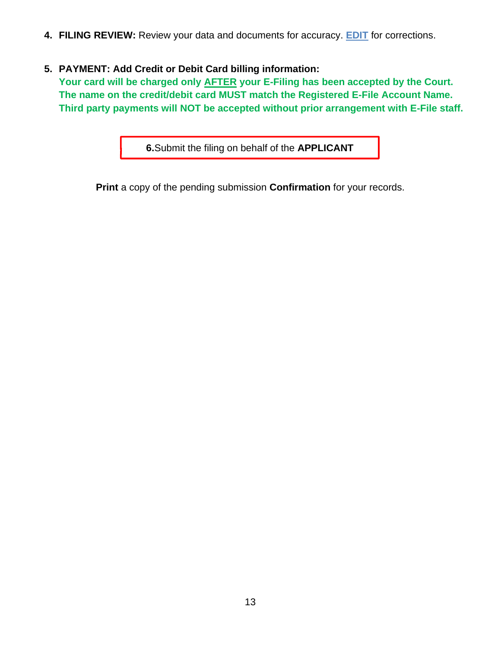**4. FILING REVIEW:** Review your data and documents for accuracy. **EDIT** for corrections.

# **5. PAYMENT: Add Credit or Debit Card billing information:**

**Your card will be charged only AFTER your E-Filing has been accepted by the Court. The name on the credit/debit card MUST match the Registered E-File Account Name. Third party payments will NOT be accepted without prior arrangement with E-File staff.**

**6.**Submit the filing on behalf of the **APPLICANT**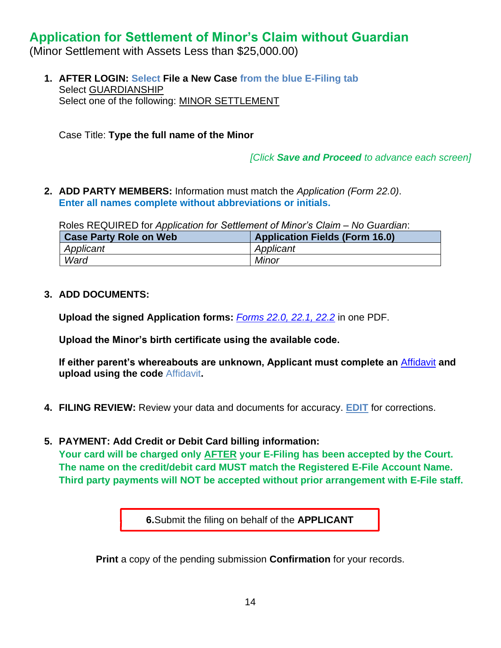# <span id="page-13-0"></span>**Application for Settlement of Minor's Claim without Guardian**

(Minor Settlement with Assets Less than \$25,000.00)

**1. AFTER LOGIN: Select File a New Case from the blue E-Filing tab** Select GUARDIANSHIP Select one of the following: MINOR SETTLEMENT

Case Title: **Type the full name of the Minor**

*[Click Save and Proceed to advance each screen]*

**2. ADD PARTY MEMBERS:** Information must match the *Application (Form 22.0)*. **Enter all names complete without abbreviations or initials.**

Roles REQUIRED for *Application for Settlement of Minor's Claim – No Guardian*:

| <b>Case Party Role on Web</b> | <b>Application Fields (Form 16.0)</b> |
|-------------------------------|---------------------------------------|
| Applicant                     | Applicant                             |
| Ward                          | <b>Minor</b>                          |

### **3. ADD DOCUMENTS:**

**Upload the signed Application forms:** *[Forms 22.0, 22.1, 22.2](https://probate.cuyahogacounty.us/pdf/grdm/22.0_packet.pdf)* in one PDF.

**Upload the Minor's birth certificate using the available code.**

**If either parent's whereabouts are unknown, Applicant must complete an** [Affidavit](https://probate.cuyahogacounty.us/pdf/grdm/GuardAffidavit.pdf) **and upload using the code** Affidavit**.**

- **4. FILING REVIEW:** Review your data and documents for accuracy. **EDIT** for corrections.
- **5. PAYMENT: Add Credit or Debit Card billing information:**

**Your card will be charged only AFTER your E-Filing has been accepted by the Court. The name on the credit/debit card MUST match the Registered E-File Account Name. Third party payments will NOT be accepted without prior arrangement with E-File staff.**

**6.**Submit the filing on behalf of the **APPLICANT**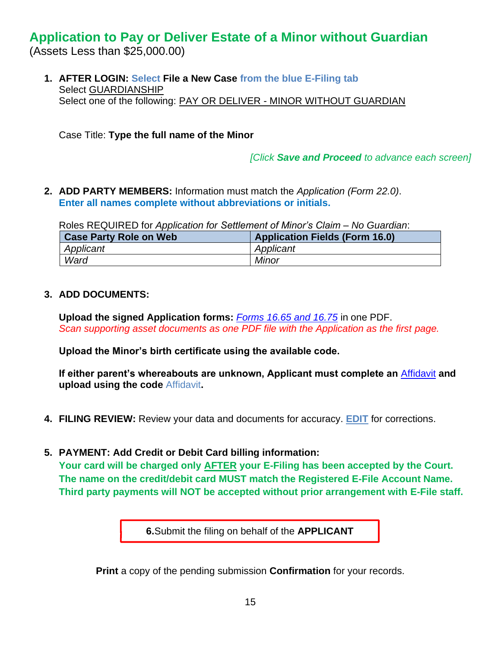# <span id="page-14-0"></span>**Application to Pay or Deliver Estate of a Minor without Guardian**

(Assets Less than \$25,000.00)

**1. AFTER LOGIN: Select File a New Case from the blue E-Filing tab** Select GUARDIANSHIP Select one of the following: PAY OR DELIVER - MINOR WITHOUT GUARDIAN

Case Title: **Type the full name of the Minor**

*[Click Save and Proceed to advance each screen]*

**2. ADD PARTY MEMBERS:** Information must match the *Application (Form 22.0)*. **Enter all names complete without abbreviations or initials.**

Roles REQUIRED for *Application for Settlement of Minor's Claim – No Guardian*:

| <b>Case Party Role on Web</b> | <b>Application Fields (Form 16.0)</b> |
|-------------------------------|---------------------------------------|
| Applicant                     | Applicant                             |
| Ward                          | Minor                                 |

# **3. ADD DOCUMENTS:**

**Upload the signed Application forms:** *[Forms 16.65 and 16.75](https://probate.cuyahogacounty.us/pdf/grdm/PODMinorPacket.pdf)* in one PDF. *Scan supporting asset documents as one PDF file with the Application as the first page.*

**Upload the Minor's birth certificate using the available code.**

**If either parent's whereabouts are unknown, Applicant must complete an** [Affidavit](https://probate.cuyahogacounty.us/pdf/grdm/GuardAffidavit.pdf) **and upload using the code** Affidavit**.**

- **4. FILING REVIEW:** Review your data and documents for accuracy. **EDIT** for corrections.
- **5. PAYMENT: Add Credit or Debit Card billing information:**

**Your card will be charged only AFTER your E-Filing has been accepted by the Court. The name on the credit/debit card MUST match the Registered E-File Account Name. Third party payments will NOT be accepted without prior arrangement with E-File staff.**

**6.**Submit the filing on behalf of the **APPLICANT**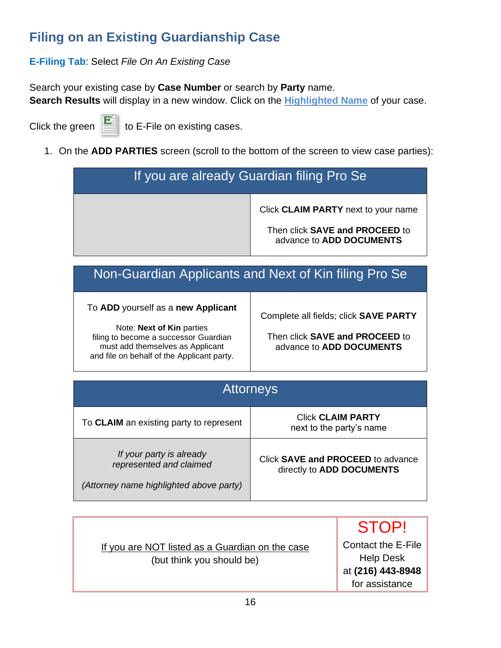# <span id="page-15-0"></span>**Filing on an Existing Guardianship Case**

# **E-Filing Tab**: Select *File On An Existing Case*

Search your existing case by **Case Number** or search by **Party** name. **Search Results** will display in a new window. Click on the **Highlighted Name** of your case.

Click the green  $\|\cdot\|$  to E-File on existing cases.

1. On the **ADD PARTIES** screen (scroll to the bottom of the screen to view case parties):

# If you are already Guardian filing Pro Se Click **CLAIM PARTY** next to your name Then click **SAVE and PROCEED** to advance to **ADD DOCUMENTS**

# Non-Guardian Applicants and Next of Kin filing Pro Se

# To **ADD** yourself as a **new Applicant**

Note: **Next of Kin** parties filing to become a successor Guardian must add themselves as Applicant and file on behalf of the Applicant party. Complete all fields; click **SAVE PARTY**

Then click **SAVE and PROCEED** to advance to **ADD DOCUMENTS**

| <b>Attorneys</b>                                                                               |                                                                |  |
|------------------------------------------------------------------------------------------------|----------------------------------------------------------------|--|
| To CLAIM an existing party to represent                                                        | <b>Click CLAIM PARTY</b><br>next to the party's name           |  |
| If your party is already<br>represented and claimed<br>(Attorney name highlighted above party) | Click SAVE and PROCEED to advance<br>directly to ADD DOCUMENTS |  |

|                                                                              | <b>STOP!</b>                                                                         |
|------------------------------------------------------------------------------|--------------------------------------------------------------------------------------|
| If you are NOT listed as a Guardian on the case<br>(but think you should be) | <b>Contact the E-File</b><br><b>Help Desk</b><br>at (216) 443-8948<br>for assistance |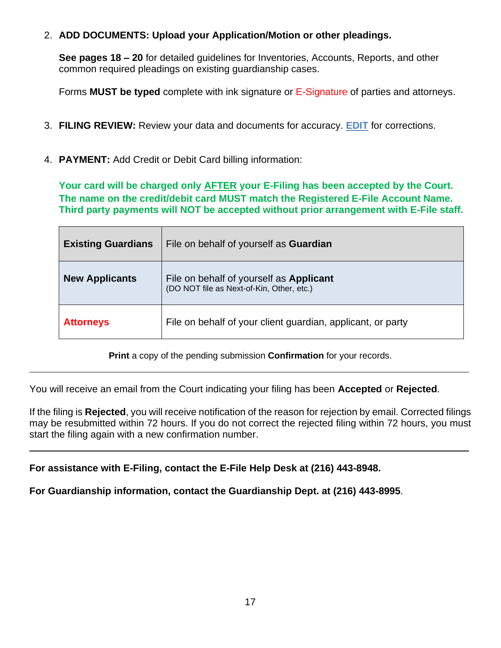# 2. **ADD DOCUMENTS: Upload your Application/Motion or other pleadings.**

**See pages 18 – 20** for detailed guidelines for Inventories, Accounts, Reports, and other common required pleadings on existing guardianship cases.

Forms **MUST be typed** complete with ink signature or E-Signature of parties and attorneys.

- 3. **FILING REVIEW:** Review your data and documents for accuracy. **EDIT** for corrections.
- 4. **PAYMENT:** Add Credit or Debit Card billing information:

**Your card will be charged only AFTER your E-Filing has been accepted by the Court. The name on the credit/debit card MUST match the Registered E-File Account Name. Third party payments will NOT be accepted without prior arrangement with E-File staff.**

| <b>Existing Guardians</b> | File on behalf of yourself as <b>Guardian</b>                                               |
|---------------------------|---------------------------------------------------------------------------------------------|
| <b>New Applicants</b>     | File on behalf of yourself as <b>Applicant</b><br>(DO NOT file as Next-of-Kin, Other, etc.) |
| <b>Attorneys</b>          | File on behalf of your client guardian, applicant, or party                                 |

**Print** a copy of the pending submission **Confirmation** for your records.

You will receive an email from the Court indicating your filing has been **Accepted** or **Rejected**.

If the filing is **Rejected**, you will receive notification of the reason for rejection by email. Corrected filings may be resubmitted within 72 hours. If you do not correct the rejected filing within 72 hours, you must start the filing again with a new confirmation number.

**For assistance with E-Filing, contact the E-File Help Desk at (216) 443-8948.**

**For Guardianship information, contact the Guardianship Dept. at (216) 443-8995**.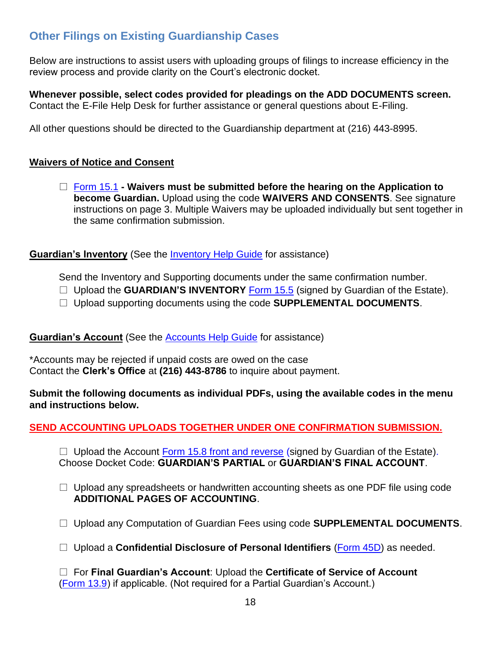# <span id="page-17-0"></span>**Other Filings on Existing Guardianship Cases**

Below are instructions to assist users with uploading groups of filings to increase efficiency in the review process and provide clarity on the Court's electronic docket.

**Whenever possible, select codes provided for pleadings on the ADD DOCUMENTS screen.** Contact the E-File Help Desk for further assistance or general questions about E-Filing.

All other questions should be directed to the Guardianship department at (216) 443-8995.

# <span id="page-17-1"></span>**Waivers of Notice and Consent**

 [Form 15.1](https://probate.cuyahogacounty.us/pdf/grda/15.1.pdf) **- Waivers must be submitted before the hearing on the Application to become Guardian.** Upload using the code **WAIVERS AND CONSENTS**. See signature instructions on page 3. Multiple Waivers may be uploaded individually but sent together in the same confirmation submission.

<span id="page-17-2"></span>**Guardian's Inventory** (See the [Inventory Help Guide](https://probate.cuyahogacounty.us/acctsinvs.aspx#Inventory) for assistance)

Send the Inventory and Supporting documents under the same confirmation number.

- □ Upload the **GUARDIAN'S INVENTORY** [Form 15.5](https://probate.cuyahogacounty.us/pdf/grda/15.5.pdf) (signed by Guardian of the Estate).
- □ Upload supporting documents using the code **SUPPLEMENTAL DOCUMENTS**.

# <span id="page-17-3"></span>**Guardian's Account** (See the **Accounts Help Guide** for assistance)

\*Accounts may be rejected if unpaid costs are owed on the case Contact the **Clerk's Office** at **(216) 443-8786** to inquire about payment.

**Submit the following documents as individual PDFs, using the available codes in the menu and instructions below.**

# **SEND ACCOUNTING UPLOADS TOGETHER UNDER ONE CONFIRMATION SUBMISSION.**

 $\Box$  Upload the Account [Form 15.8 front and reverse](https://probate.cuyahogacounty.us/pdf/grda/15.8.pdf) (signed by Guardian of the Estate). Choose Docket Code: **GUARDIAN'S PARTIAL** or **GUARDIAN'S FINAL ACCOUNT**.

- $\Box$  Upload any spreadsheets or handwritten accounting sheets as one PDF file using code **ADDITIONAL PAGES OF ACCOUNTING**.
- Upload any Computation of Guardian Fees using code **SUPPLEMENTAL DOCUMENTS**.
- □ Upload a **Confidential Disclosure of Personal Identifiers** [\(Form 45D\)](https://probate.cuyahogacounty.us/pdf/est/45D.pdf) as needed.

 For **Final Guardian's Account**: Upload the **Certificate of Service of Account**  [\(Form 13.9\)](https://probate.cuyahogacounty.us/pdf/est/13.9.pdf) if applicable. (Not required for a Partial Guardian's Account.)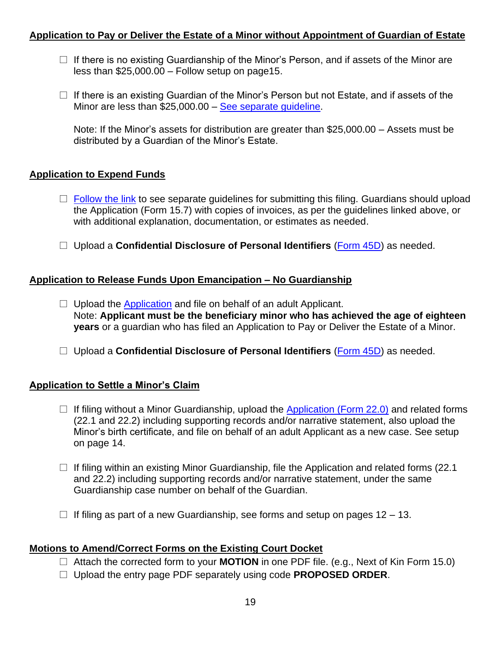### <span id="page-18-0"></span>**Application to Pay or Deliver the Estate of a Minor without Appointment of Guardian of Estate**

- $\Box$  If there is no existing Guardianship of the Minor's Person, and if assets of the Minor are less than \$25,000.00 – Follow setup on page15.
- $\Box$  If there is an existing Guardian of the Minor's Person but not Estate, and if assets of the Minor are less than \$25,000.00 – See separate quideline.

Note: If the Minor's assets for distribution are greater than \$25,000.00 – Assets must be distributed by a Guardian of the Minor's Estate.

# <span id="page-18-1"></span>**Application to Expend Funds**

- $\Box$  [Follow the link](https://probate.cuyahogacounty.us/pdf/grdm/guides/AppExtFunds.pdf) to see separate guidelines for submitting this filing. Guardians should upload the Application (Form 15.7) with copies of invoices, as per the guidelines linked above, or with additional explanation, documentation, or estimates as needed.
- □ Upload a **Confidential Disclosure of Personal Identifiers** [\(Form 45D\)](https://probate.cuyahogacounty.us/pdf/est/45D.pdf) as needed.

### <span id="page-18-2"></span>**Application to Release Funds Upon Emancipation – No Guardianship**

- $\Box$  Upload the [Application](https://probate.cuyahogacounty.us/pdf/grdm/APPRELFUNDSNOGRD.pdf) and file on behalf of an adult Applicant. Note: **Applicant must be the beneficiary minor who has achieved the age of eighteen years** or a guardian who has filed an Application to Pay or Deliver the Estate of a Minor.
- □ Upload a **Confidential Disclosure of Personal Identifiers** [\(Form 45D\)](https://probate.cuyahogacounty.us/pdf/est/45D.pdf) as needed.

#### <span id="page-18-3"></span>**Application to Settle a Minor's Claim**

- $\Box$  If filing without a Minor Guardianship, upload the [Application \(Form 22.0\)](https://probate.cuyahogacounty.us/pdf/grdm/22.0_packet.pdf) and related forms (22.1 and 22.2) including supporting records and/or narrative statement, also upload the Minor's birth certificate, and file on behalf of an adult Applicant as a new case. See setup on page 14.
- $\Box$  If filing within an existing Minor Guardianship, file the Application and related forms (22.1) and 22.2) including supporting records and/or narrative statement, under the same Guardianship case number on behalf of the Guardian.
- $\Box$  If filing as part of a new Guardianship, see forms and setup on pages 12 13.

# <span id="page-18-4"></span>**Motions to Amend/Correct Forms on the Existing Court Docket**

- Attach the corrected form to your **MOTION** in one PDF file. (e.g., Next of Kin Form 15.0)
- Upload the entry page PDF separately using code **PROPOSED ORDER**.